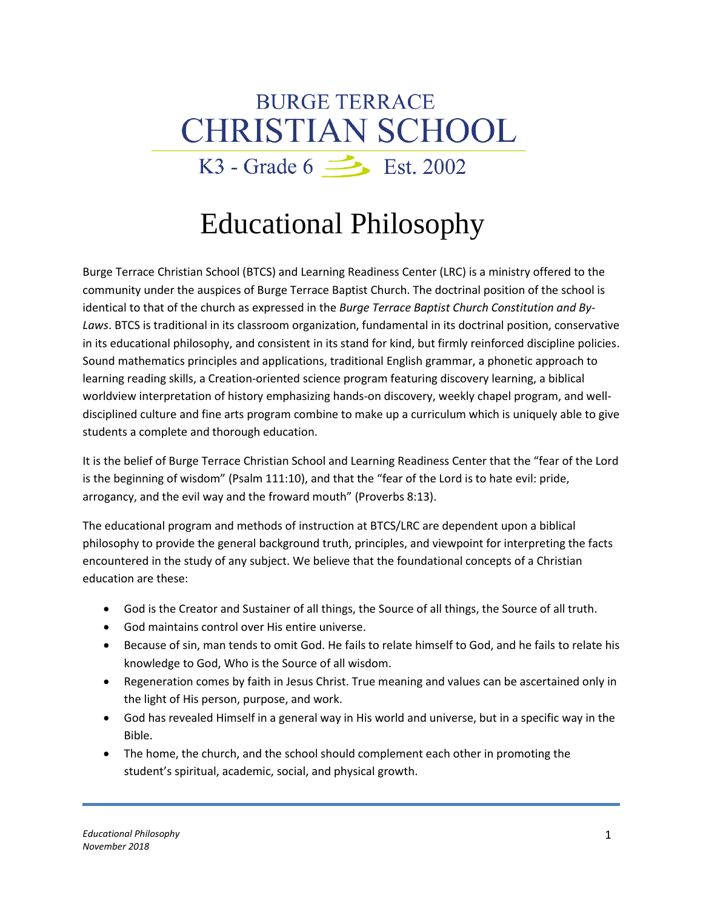## **BURGE TERRACE CHRISTIAN SCHOOL** K3 - Grade  $6 \implies$  Est. 2002

## Educational Philosophy

Burge Terrace Christian School (BTCS) and Learning Readiness Center (LRC) is a ministry offered to the community under the auspices of Burge Terrace Baptist Church. The doctrinal position of the school is identical to that of the church as expressed in the *Burge Terrace Baptist Church Constitution and By-Laws*. BTCS is traditional in its classroom organization, fundamental in its doctrinal position, conservative in its educational philosophy, and consistent in its stand for kind, but firmly reinforced discipline policies. Sound mathematics principles and applications, traditional English grammar, a phonetic approach to learning reading skills, a Creation-oriented science program featuring discovery learning, a biblical worldview interpretation of history emphasizing hands-on discovery, weekly chapel program, and welldisciplined culture and fine arts program combine to make up a curriculum which is uniquely able to give students a complete and thorough education.

It is the belief of Burge Terrace Christian School and Learning Readiness Center that the "fear of the Lord is the beginning of wisdom" (Psalm 111:10), and that the "fear of the Lord is to hate evil: pride, arrogancy, and the evil way and the froward mouth" (Proverbs 8:13).

The educational program and methods of instruction at BTCS/LRC are dependent upon a biblical philosophy to provide the general background truth, principles, and viewpoint for interpreting the facts encountered in the study of any subject. We believe that the foundational concepts of a Christian education are these:

- God is the Creator and Sustainer of all things, the Source of all things, the Source of all truth.
- God maintains control over His entire universe.
- Because of sin, man tends to omit God. He fails to relate himself to God, and he fails to relate his knowledge to God, Who is the Source of all wisdom.
- Regeneration comes by faith in Jesus Christ. True meaning and values can be ascertained only in the light of His person, purpose, and work.
- God has revealed Himself in a general way in His world and universe, but in a specific way in the Bible.
- The home, the church, and the school should complement each other in promoting the student's spiritual, academic, social, and physical growth.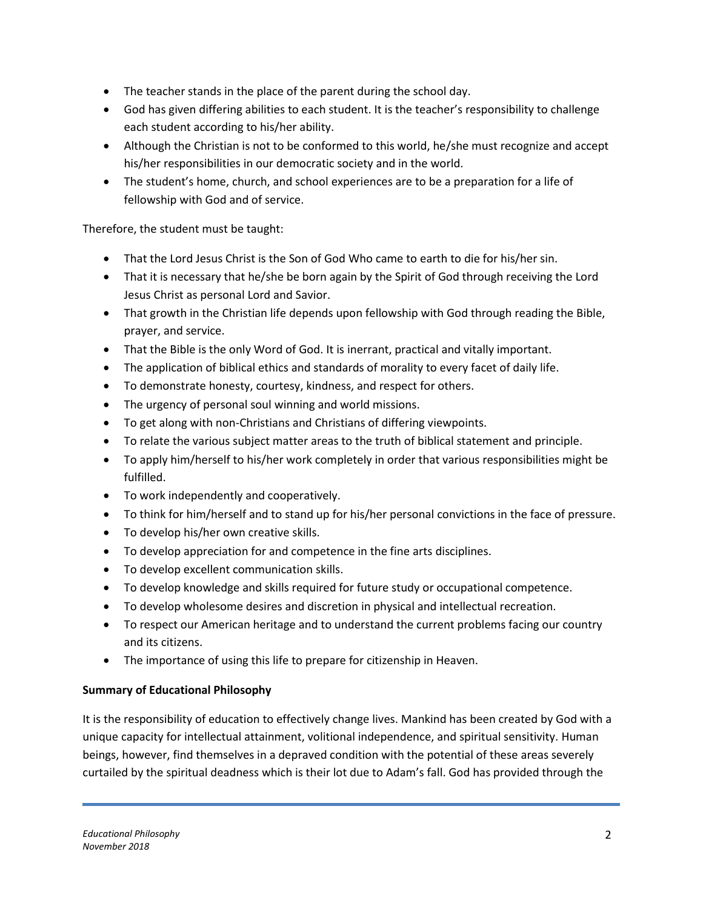- The teacher stands in the place of the parent during the school day.
- God has given differing abilities to each student. It is the teacher's responsibility to challenge each student according to his/her ability.
- Although the Christian is not to be conformed to this world, he/she must recognize and accept his/her responsibilities in our democratic society and in the world.
- The student's home, church, and school experiences are to be a preparation for a life of fellowship with God and of service.

Therefore, the student must be taught:

- That the Lord Jesus Christ is the Son of God Who came to earth to die for his/her sin.
- That it is necessary that he/she be born again by the Spirit of God through receiving the Lord Jesus Christ as personal Lord and Savior.
- That growth in the Christian life depends upon fellowship with God through reading the Bible, prayer, and service.
- That the Bible is the only Word of God. It is inerrant, practical and vitally important.
- The application of biblical ethics and standards of morality to every facet of daily life.
- To demonstrate honesty, courtesy, kindness, and respect for others.
- The urgency of personal soul winning and world missions.
- To get along with non-Christians and Christians of differing viewpoints.
- To relate the various subject matter areas to the truth of biblical statement and principle.
- To apply him/herself to his/her work completely in order that various responsibilities might be fulfilled.
- To work independently and cooperatively.
- To think for him/herself and to stand up for his/her personal convictions in the face of pressure.
- To develop his/her own creative skills.
- To develop appreciation for and competence in the fine arts disciplines.
- To develop excellent communication skills.
- To develop knowledge and skills required for future study or occupational competence.
- To develop wholesome desires and discretion in physical and intellectual recreation.
- To respect our American heritage and to understand the current problems facing our country and its citizens.
- The importance of using this life to prepare for citizenship in Heaven.

## **Summary of Educational Philosophy**

It is the responsibility of education to effectively change lives. Mankind has been created by God with a unique capacity for intellectual attainment, volitional independence, and spiritual sensitivity. Human beings, however, find themselves in a depraved condition with the potential of these areas severely curtailed by the spiritual deadness which is their lot due to Adam's fall. God has provided through the